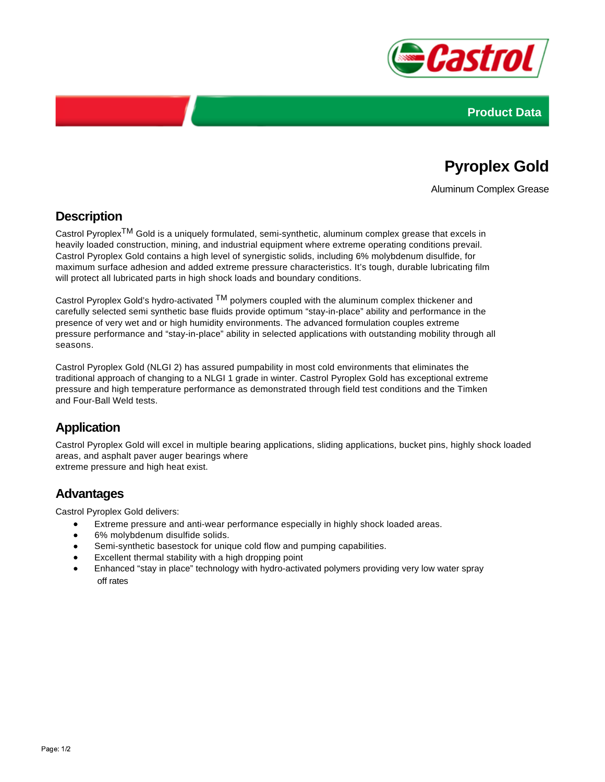



# **Pyroplex Gold**

Aluminum Complex Grease

### **Description**

Castrol PyroplexTM Gold is a uniquely formulated, semi-synthetic, aluminum complex grease that excels in heavily loaded construction, mining, and industrial equipment where extreme operating conditions prevail. Castrol Pyroplex Gold contains a high level of synergistic solids, including 6% molybdenum disulfide, for maximum surface adhesion and added extreme pressure characteristics. It's tough, durable lubricating film will protect all lubricated parts in high shock loads and boundary conditions.

Castrol Pyroplex Gold's hydro-activated  $TM$  polymers coupled with the aluminum complex thickener and carefully selected semi synthetic base fluids provide optimum "stay-in-place" ability and performance in the presence of very wet and or high humidity environments. The advanced formulation couples extreme pressure performance and "stay-in-place" ability in selected applications with outstanding mobility through all seasons.

Castrol Pyroplex Gold (NLGI 2) has assured pumpability in most cold environments that eliminates the traditional approach of changing to a NLGI 1 grade in winter. Castrol Pyroplex Gold has exceptional extreme pressure and high temperature performance as demonstrated through field test conditions and the Timken and Four-Ball Weld tests.

## **Application**

Castrol Pyroplex Gold will excel in multiple bearing applications, sliding applications, bucket pins, highly shock loaded areas, and asphalt paver auger bearings where extreme pressure and high heat exist.

### **Advantages**

Castrol Pyroplex Gold delivers:

- Extreme pressure and anti-wear performance especially in highly shock loaded areas.
- 6% molybdenum disulfide solids.
- $\bullet$ Semi-synthetic basestock for unique cold flow and pumping capabilities.
- Excellent thermal stability with a high dropping point
- Enhanced "stay in place" technology with hydro-activated polymers providing very low water spray off rates